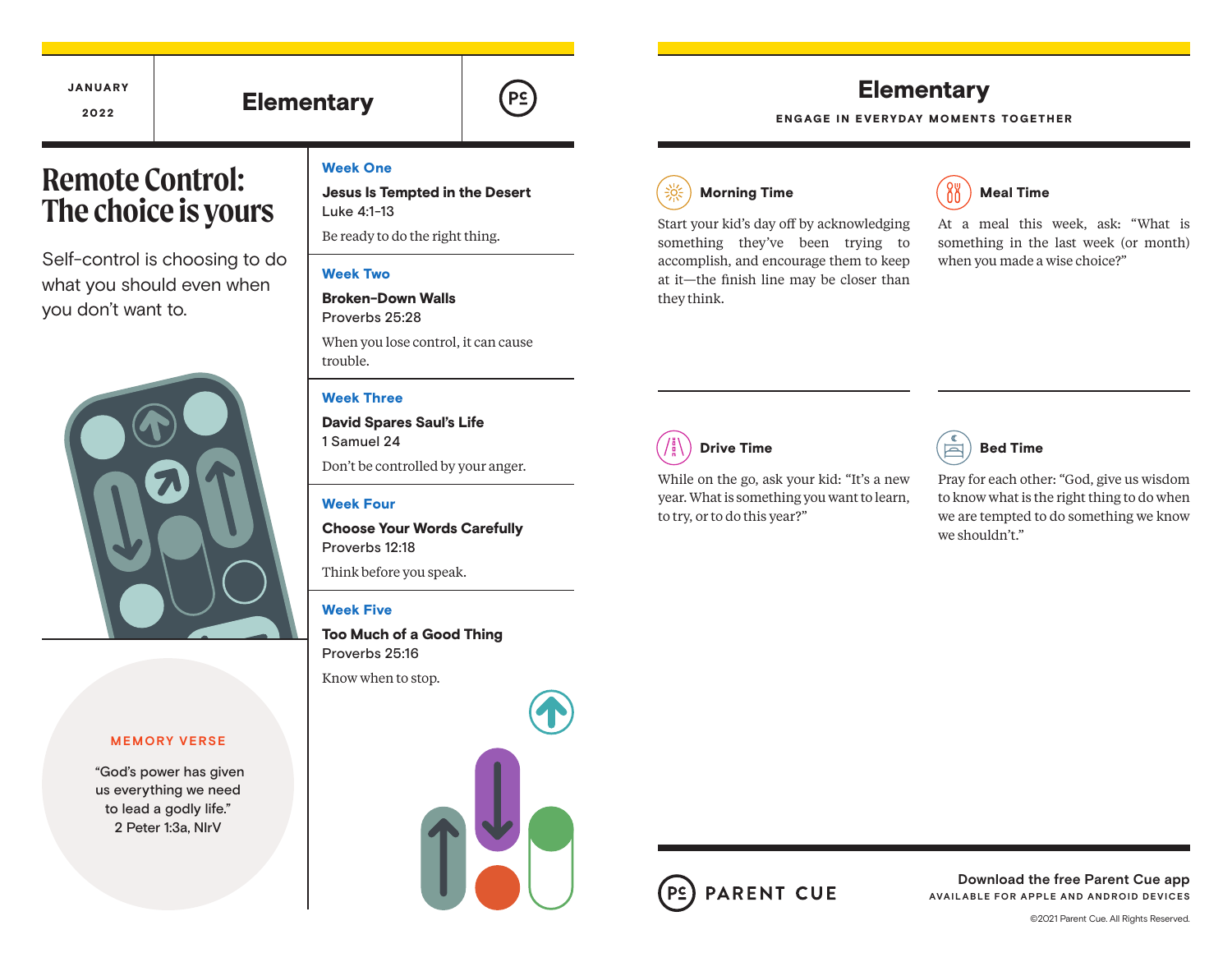# JANUARY

## <u>2022</u> | Elementary



# **Remote Control: The choice is yours**

Self-control is choosing to do what you should even when you don't want to.



#### **MEMORY VERSE**

 "God's power has given us everything we need to lead a godly life." 2 Peter 1:3a, NIrV

#### Week One

Jesus Is Tempted in the Desert Luke 4:1-13

Be ready to do the right thing.

#### Week Two

Broken-Down Walls Proverbs 25:28 When you lose control, it can cause trouble.

#### Week Three

David Spares Saul's Life 1 Samuel 24 Don't be controlled by your anger.

#### Week Four

Choose Your Words Carefully Proverbs 12:18

Think before you speak.

#### Week Five

Too Much of a Good Thing Proverbs 25:16 Know when to stop.



### **Elementary**

ENGAGE IN EVERYDAY MOMENTS TOGETHER

### Morning Time

Start your kid's day off by acknowledging something they've been trying to accomplish, and encourage them to keep at it—the finish line may be closer than they think.



At a meal this week, ask: "What is something in the last week (or month) when you made a wise choice?"

Drive Time

While on the go, ask your kid: "It's a new year. What is something you want to learn, to try, or to do this year?"

### Bed Time

Pray for each other: "God, give us wisdom to know what is the right thing to do when we are tempted to do something we know we shouldn't."



**Download the free Parent Cue app AVAILABLE FOR APPLE AND ANDROID DEVICES**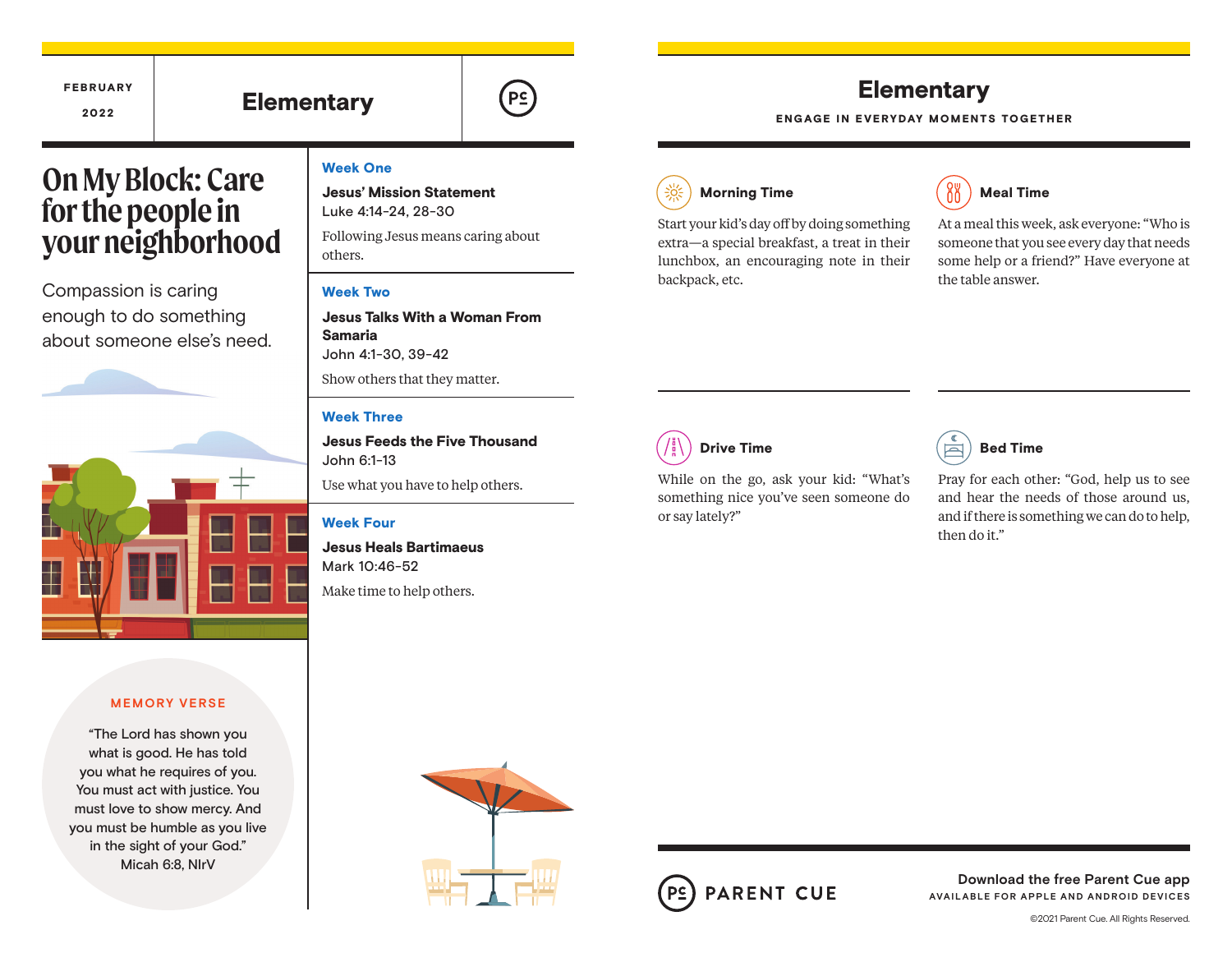# **Elementary**

 $P<sub>2</sub>$ 

# **Elementary**

ENGAGE IN EVERYDAY MOMENTS TOGETHER

# **On My Block: Care for the people in your neighborhood**

FEBRUARY

Compassion is caring enough to do something about someone else's need.



#### **MEMORY VERSE**

"The Lord has shown you what is good. He has told you what he requires of you. You must act with justice. You must love to show mercy. And you must be humble as you live in the sight of your God." Micah 6:8, NIrV

#### Week One

Jesus' Mission Statement Luke 4:14-24, 28-30

Following Jesus means caring about others.

#### Week Two

Jesus Talks With a Woman From Samaria John 4:1-30, 39-42 Show others that they matter.

#### Week Three

Jesus Feeds the Five Thousand John 6:1-13

Use what you have to help others.

#### Week Four

Jesus Heals Bartimaeus Mark 10:46-52

Make time to help others.



Start your kid's day off by doing something extra—a special breakfast, a treat in their lunchbox, an encouraging note in their backpack, etc.



At a meal this week, ask everyone: "Who is someone that you see every day that needs some help or a friend?" Have everyone at the table answer.

# Drive Time

While on the go, ask your kid: "What's something nice you've seen someone do or say lately?"



Pray for each other: "God, help us to see and hear the needs of those around us, and if there is something we can do to help, then do it."





**Download the free Parent Cue app AVAILABLE FOR APPLE AND ANDROID DEVICES**